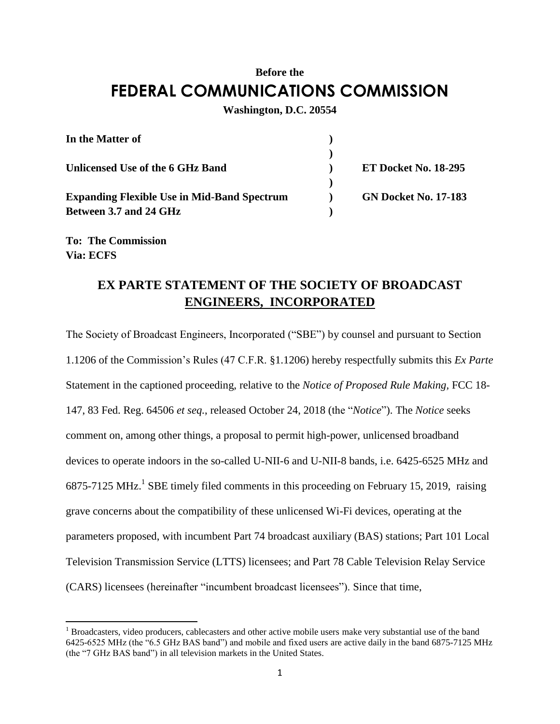## **Before the FEDERAL COMMUNICATIONS COMMISSION**

## **Washington, D.C. 20554**

| In the Matter of                                   |                             |
|----------------------------------------------------|-----------------------------|
|                                                    |                             |
| Unlicensed Use of the 6 GHz Band                   | <b>ET Docket No. 18-295</b> |
|                                                    |                             |
| <b>Expanding Flexible Use in Mid-Band Spectrum</b> | <b>GN Docket No. 17-183</b> |
| Between 3.7 and 24 GHz                             |                             |

**To: The Commission Via: ECFS**

 $\overline{\phantom{a}}$ 

## **EX PARTE STATEMENT OF THE SOCIETY OF BROADCAST ENGINEERS, INCORPORATED**

The Society of Broadcast Engineers, Incorporated ("SBE") by counsel and pursuant to Section 1.1206 of the Commission's Rules (47 C.F.R. §1.1206) hereby respectfully submits this *Ex Parte* Statement in the captioned proceeding, relative to the *Notice of Proposed Rule Making,* FCC 18- 147, 83 Fed. Reg. 64506 *et seq.*, released October 24, 2018 (the "*Notice*"). The *Notice* seeks comment on, among other things, a proposal to permit high-power, unlicensed broadband devices to operate indoors in the so-called U-NII-6 and U-NII-8 bands, i.e. 6425-6525 MHz and  $6875-7125 \text{ MHz}$ .<sup>1</sup> SBE timely filed comments in this proceeding on February 15, 2019, raising grave concerns about the compatibility of these unlicensed Wi-Fi devices, operating at the parameters proposed, with incumbent Part 74 broadcast auxiliary (BAS) stations; Part 101 Local Television Transmission Service (LTTS) licensees; and Part 78 Cable Television Relay Service (CARS) licensees (hereinafter "incumbent broadcast licensees"). Since that time,

<sup>&</sup>lt;sup>1</sup> Broadcasters, video producers, cablecasters and other active mobile users make very substantial use of the band 6425-6525 MHz (the "6.5 GHz BAS band") and mobile and fixed users are active daily in the band 6875-7125 MHz (the "7 GHz BAS band") in all television markets in the United States.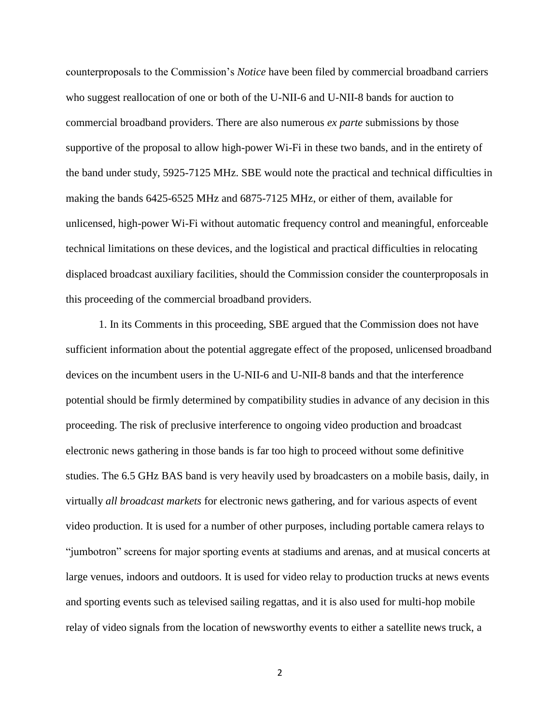counterproposals to the Commission's *Notice* have been filed by commercial broadband carriers who suggest reallocation of one or both of the U-NII-6 and U-NII-8 bands for auction to commercial broadband providers. There are also numerous *ex parte* submissions by those supportive of the proposal to allow high-power Wi-Fi in these two bands, and in the entirety of the band under study, 5925-7125 MHz. SBE would note the practical and technical difficulties in making the bands 6425-6525 MHz and 6875-7125 MHz, or either of them, available for unlicensed, high-power Wi-Fi without automatic frequency control and meaningful, enforceable technical limitations on these devices, and the logistical and practical difficulties in relocating displaced broadcast auxiliary facilities, should the Commission consider the counterproposals in this proceeding of the commercial broadband providers.

1. In its Comments in this proceeding, SBE argued that the Commission does not have sufficient information about the potential aggregate effect of the proposed, unlicensed broadband devices on the incumbent users in the U-NII-6 and U-NII-8 bands and that the interference potential should be firmly determined by compatibility studies in advance of any decision in this proceeding. The risk of preclusive interference to ongoing video production and broadcast electronic news gathering in those bands is far too high to proceed without some definitive studies. The 6.5 GHz BAS band is very heavily used by broadcasters on a mobile basis, daily, in virtually *all broadcast markets* for electronic news gathering, and for various aspects of event video production. It is used for a number of other purposes, including portable camera relays to "jumbotron" screens for major sporting events at stadiums and arenas, and at musical concerts at large venues, indoors and outdoors. It is used for video relay to production trucks at news events and sporting events such as televised sailing regattas, and it is also used for multi-hop mobile relay of video signals from the location of newsworthy events to either a satellite news truck, a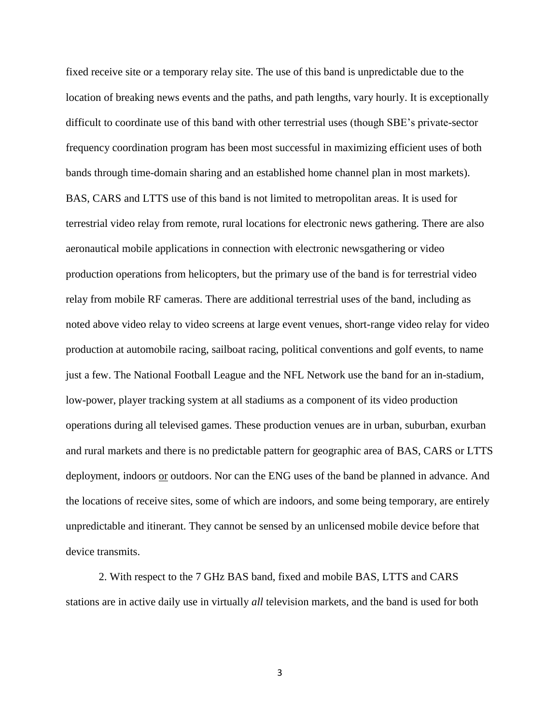fixed receive site or a temporary relay site. The use of this band is unpredictable due to the location of breaking news events and the paths, and path lengths, vary hourly. It is exceptionally difficult to coordinate use of this band with other terrestrial uses (though SBE's private-sector frequency coordination program has been most successful in maximizing efficient uses of both bands through time-domain sharing and an established home channel plan in most markets). BAS, CARS and LTTS use of this band is not limited to metropolitan areas. It is used for terrestrial video relay from remote, rural locations for electronic news gathering. There are also aeronautical mobile applications in connection with electronic newsgathering or video production operations from helicopters, but the primary use of the band is for terrestrial video relay from mobile RF cameras. There are additional terrestrial uses of the band, including as noted above video relay to video screens at large event venues, short-range video relay for video production at automobile racing, sailboat racing, political conventions and golf events, to name just a few. The National Football League and the NFL Network use the band for an in-stadium, low-power, player tracking system at all stadiums as a component of its video production operations during all televised games. These production venues are in urban, suburban, exurban and rural markets and there is no predictable pattern for geographic area of BAS, CARS or LTTS deployment, indoors or outdoors. Nor can the ENG uses of the band be planned in advance. And the locations of receive sites, some of which are indoors, and some being temporary, are entirely unpredictable and itinerant. They cannot be sensed by an unlicensed mobile device before that device transmits.

2. With respect to the 7 GHz BAS band, fixed and mobile BAS, LTTS and CARS stations are in active daily use in virtually *all* television markets, and the band is used for both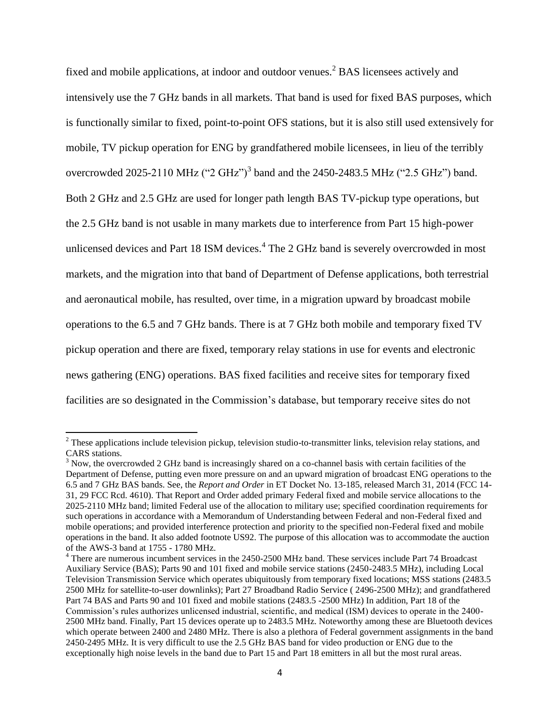fixed and mobile applications, at indoor and outdoor venues.<sup>2</sup> BAS licensees actively and intensively use the 7 GHz bands in all markets. That band is used for fixed BAS purposes, which is functionally similar to fixed, point-to-point OFS stations, but it is also still used extensively for mobile, TV pickup operation for ENG by grandfathered mobile licensees, in lieu of the terribly overcrowded 2025-2110 MHz  $("2 GHz")^3$  band and the 2450-2483.5 MHz  $("2.5 GHz")$  band. Both 2 GHz and 2.5 GHz are used for longer path length BAS TV-pickup type operations, but the 2.5 GHz band is not usable in many markets due to interference from Part 15 high-power unlicensed devices and Part 18 ISM devices.<sup>4</sup> The 2 GHz band is severely overcrowded in most markets, and the migration into that band of Department of Defense applications, both terrestrial and aeronautical mobile, has resulted, over time, in a migration upward by broadcast mobile operations to the 6.5 and 7 GHz bands. There is at 7 GHz both mobile and temporary fixed TV pickup operation and there are fixed, temporary relay stations in use for events and electronic news gathering (ENG) operations. BAS fixed facilities and receive sites for temporary fixed facilities are so designated in the Commission's database, but temporary receive sites do not

l

 $2$  These applications include television pickup, television studio-to-transmitter links, television relay stations, and CARS stations.

<sup>&</sup>lt;sup>3</sup> Now, the overcrowded 2 GHz band is increasingly shared on a co-channel basis with certain facilities of the Department of Defense, putting even more pressure on and an upward migration of broadcast ENG operations to the 6.5 and 7 GHz BAS bands. See, the *Report and Order* in ET Docket No. 13-185, released March 31, 2014 (FCC 14- 31, 29 FCC Rcd. 4610). That Report and Order added primary Federal fixed and mobile service allocations to the 2025-2110 MHz band; limited Federal use of the allocation to military use; specified coordination requirements for such operations in accordance with a Memorandum of Understanding between Federal and non-Federal fixed and mobile operations; and provided interference protection and priority to the specified non-Federal fixed and mobile operations in the band. It also added footnote US92. The purpose of this allocation was to accommodate the auction of the AWS-3 band at 1755 - 1780 MHz.

<sup>&</sup>lt;sup>4</sup> There are numerous incumbent services in the 2450-2500 MHz band. These services include Part 74 Broadcast Auxiliary Service (BAS); Parts 90 and 101 fixed and mobile service stations (2450-2483.5 MHz), including Local Television Transmission Service which operates ubiquitously from temporary fixed locations; MSS stations (2483.5 2500 MHz for satellite-to-user downlinks); Part 27 Broadband Radio Service ( 2496-2500 MHz); and grandfathered Part 74 BAS and Parts 90 and 101 fixed and mobile stations (2483.5 -2500 MHz) In addition, Part 18 of the Commission's rules authorizes unlicensed industrial, scientific, and medical (ISM) devices to operate in the 2400- 2500 MHz band. Finally, Part 15 devices operate up to 2483.5 MHz. Noteworthy among these are Bluetooth devices which operate between 2400 and 2480 MHz. There is also a plethora of Federal government assignments in the band 2450-2495 MHz. It is very difficult to use the 2.5 GHz BAS band for video production or ENG due to the exceptionally high noise levels in the band due to Part 15 and Part 18 emitters in all but the most rural areas.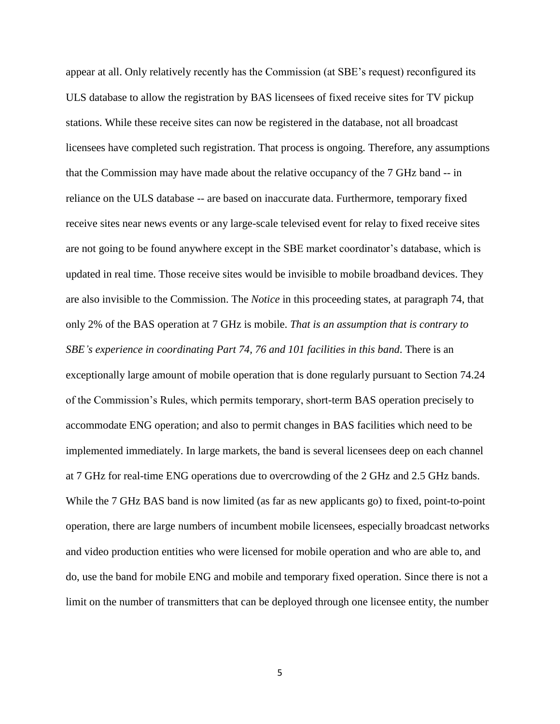appear at all. Only relatively recently has the Commission (at SBE's request) reconfigured its ULS database to allow the registration by BAS licensees of fixed receive sites for TV pickup stations. While these receive sites can now be registered in the database, not all broadcast licensees have completed such registration. That process is ongoing. Therefore, any assumptions that the Commission may have made about the relative occupancy of the 7 GHz band -- in reliance on the ULS database -- are based on inaccurate data. Furthermore, temporary fixed receive sites near news events or any large-scale televised event for relay to fixed receive sites are not going to be found anywhere except in the SBE market coordinator's database, which is updated in real time. Those receive sites would be invisible to mobile broadband devices. They are also invisible to the Commission. The *Notice* in this proceeding states, at paragraph 74, that only 2% of the BAS operation at 7 GHz is mobile. *That is an assumption that is contrary to SBE's experience in coordinating Part 74, 76 and 101 facilities in this band*. There is an exceptionally large amount of mobile operation that is done regularly pursuant to Section 74.24 of the Commission's Rules, which permits temporary, short-term BAS operation precisely to accommodate ENG operation; and also to permit changes in BAS facilities which need to be implemented immediately. In large markets, the band is several licensees deep on each channel at 7 GHz for real-time ENG operations due to overcrowding of the 2 GHz and 2.5 GHz bands. While the 7 GHz BAS band is now limited (as far as new applicants go) to fixed, point-to-point operation, there are large numbers of incumbent mobile licensees, especially broadcast networks and video production entities who were licensed for mobile operation and who are able to, and do, use the band for mobile ENG and mobile and temporary fixed operation. Since there is not a limit on the number of transmitters that can be deployed through one licensee entity, the number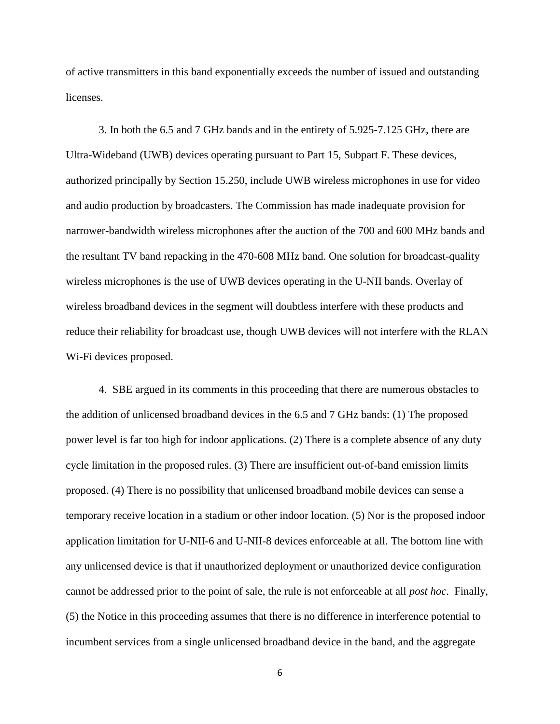of active transmitters in this band exponentially exceeds the number of issued and outstanding licenses.

3. In both the 6.5 and 7 GHz bands and in the entirety of 5.925-7.125 GHz, there are Ultra-Wideband (UWB) devices operating pursuant to Part 15, Subpart F. These devices, authorized principally by Section 15.250, include UWB wireless microphones in use for video and audio production by broadcasters. The Commission has made inadequate provision for narrower-bandwidth wireless microphones after the auction of the 700 and 600 MHz bands and the resultant TV band repacking in the 470-608 MHz band. One solution for broadcast-quality wireless microphones is the use of UWB devices operating in the U-NII bands. Overlay of wireless broadband devices in the segment will doubtless interfere with these products and reduce their reliability for broadcast use, though UWB devices will not interfere with the RLAN Wi-Fi devices proposed.

4. SBE argued in its comments in this proceeding that there are numerous obstacles to the addition of unlicensed broadband devices in the 6.5 and 7 GHz bands: (1) The proposed power level is far too high for indoor applications. (2) There is a complete absence of any duty cycle limitation in the proposed rules. (3) There are insufficient out-of-band emission limits proposed. (4) There is no possibility that unlicensed broadband mobile devices can sense a temporary receive location in a stadium or other indoor location. (5) Nor is the proposed indoor application limitation for U-NII-6 and U-NII-8 devices enforceable at all. The bottom line with any unlicensed device is that if unauthorized deployment or unauthorized device configuration cannot be addressed prior to the point of sale, the rule is not enforceable at all *post hoc*. Finally, (5) the Notice in this proceeding assumes that there is no difference in interference potential to incumbent services from a single unlicensed broadband device in the band, and the aggregate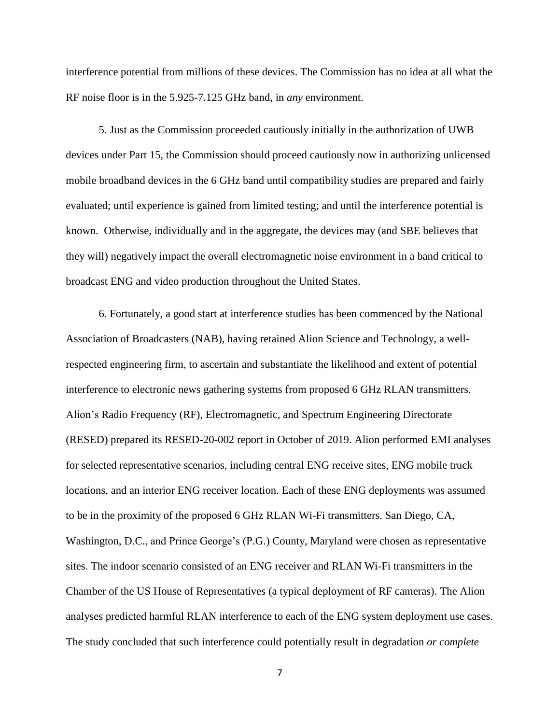interference potential from millions of these devices. The Commission has no idea at all what the RF noise floor is in the 5.925-7.125 GHz band, in *any* environment.

5. Just as the Commission proceeded cautiously initially in the authorization of UWB devices under Part 15, the Commission should proceed cautiously now in authorizing unlicensed mobile broadband devices in the 6 GHz band until compatibility studies are prepared and fairly evaluated; until experience is gained from limited testing; and until the interference potential is known. Otherwise, individually and in the aggregate, the devices may (and SBE believes that they will) negatively impact the overall electromagnetic noise environment in a band critical to broadcast ENG and video production throughout the United States.

6. Fortunately, a good start at interference studies has been commenced by the National Association of Broadcasters (NAB), having retained Alion Science and Technology, a wellrespected engineering firm, to ascertain and substantiate the likelihood and extent of potential interference to electronic news gathering systems from proposed 6 GHz RLAN transmitters. Alion's Radio Frequency (RF), Electromagnetic, and Spectrum Engineering Directorate (RESED) prepared its RESED-20-002 report in October of 2019. Alion performed EMI analyses for selected representative scenarios, including central ENG receive sites, ENG mobile truck locations, and an interior ENG receiver location. Each of these ENG deployments was assumed to be in the proximity of the proposed 6 GHz RLAN Wi-Fi transmitters. San Diego, CA, Washington, D.C., and Prince George's (P.G.) County, Maryland were chosen as representative sites. The indoor scenario consisted of an ENG receiver and RLAN Wi-Fi transmitters in the Chamber of the US House of Representatives (a typical deployment of RF cameras). The Alion analyses predicted harmful RLAN interference to each of the ENG system deployment use cases. The study concluded that such interference could potentially result in degradation *or complete*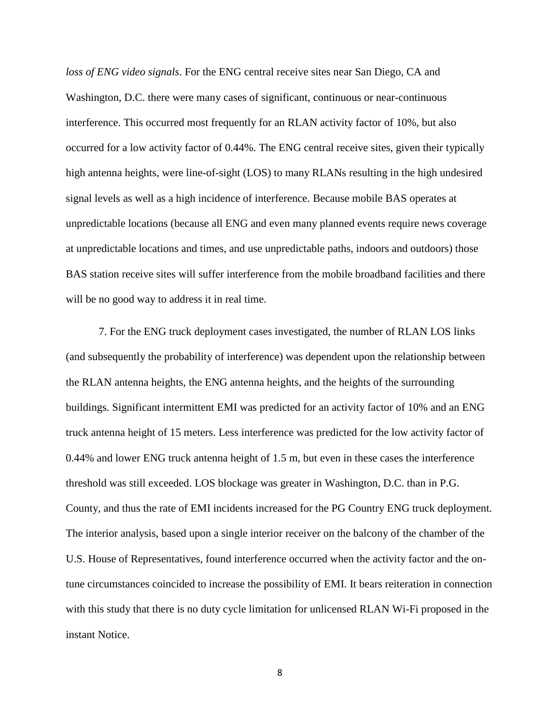*loss of ENG video signals*. For the ENG central receive sites near San Diego, CA and Washington, D.C. there were many cases of significant, continuous or near-continuous interference. This occurred most frequently for an RLAN activity factor of 10%, but also occurred for a low activity factor of 0.44%. The ENG central receive sites, given their typically high antenna heights, were line-of-sight (LOS) to many RLANs resulting in the high undesired signal levels as well as a high incidence of interference. Because mobile BAS operates at unpredictable locations (because all ENG and even many planned events require news coverage at unpredictable locations and times, and use unpredictable paths, indoors and outdoors) those BAS station receive sites will suffer interference from the mobile broadband facilities and there will be no good way to address it in real time.

7. For the ENG truck deployment cases investigated, the number of RLAN LOS links (and subsequently the probability of interference) was dependent upon the relationship between the RLAN antenna heights, the ENG antenna heights, and the heights of the surrounding buildings. Significant intermittent EMI was predicted for an activity factor of 10% and an ENG truck antenna height of 15 meters. Less interference was predicted for the low activity factor of 0.44% and lower ENG truck antenna height of 1.5 m, but even in these cases the interference threshold was still exceeded. LOS blockage was greater in Washington, D.C. than in P.G. County, and thus the rate of EMI incidents increased for the PG Country ENG truck deployment. The interior analysis, based upon a single interior receiver on the balcony of the chamber of the U.S. House of Representatives, found interference occurred when the activity factor and the ontune circumstances coincided to increase the possibility of EMI. It bears reiteration in connection with this study that there is no duty cycle limitation for unlicensed RLAN Wi-Fi proposed in the instant Notice.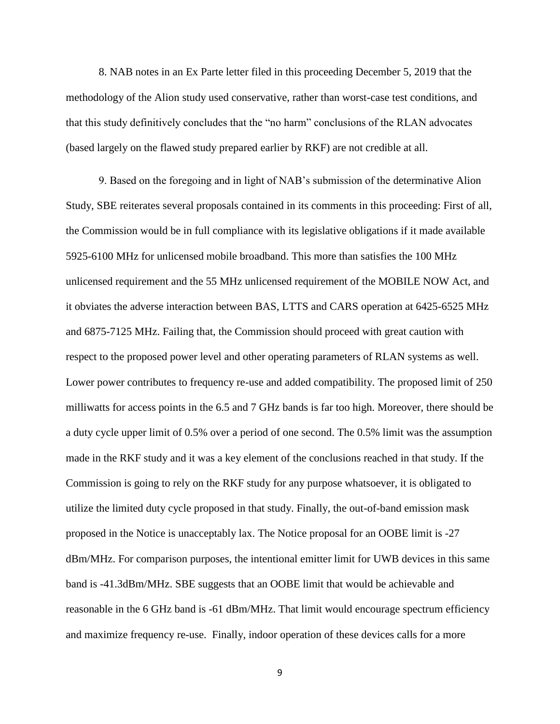8. NAB notes in an Ex Parte letter filed in this proceeding December 5, 2019 that the methodology of the Alion study used conservative, rather than worst-case test conditions, and that this study definitively concludes that the "no harm" conclusions of the RLAN advocates (based largely on the flawed study prepared earlier by RKF) are not credible at all.

9. Based on the foregoing and in light of NAB's submission of the determinative Alion Study, SBE reiterates several proposals contained in its comments in this proceeding: First of all, the Commission would be in full compliance with its legislative obligations if it made available 5925-6100 MHz for unlicensed mobile broadband. This more than satisfies the 100 MHz unlicensed requirement and the 55 MHz unlicensed requirement of the MOBILE NOW Act, and it obviates the adverse interaction between BAS, LTTS and CARS operation at 6425-6525 MHz and 6875-7125 MHz. Failing that, the Commission should proceed with great caution with respect to the proposed power level and other operating parameters of RLAN systems as well. Lower power contributes to frequency re-use and added compatibility. The proposed limit of 250 milliwatts for access points in the 6.5 and 7 GHz bands is far too high. Moreover, there should be a duty cycle upper limit of 0.5% over a period of one second. The 0.5% limit was the assumption made in the RKF study and it was a key element of the conclusions reached in that study. If the Commission is going to rely on the RKF study for any purpose whatsoever, it is obligated to utilize the limited duty cycle proposed in that study. Finally, the out-of-band emission mask proposed in the Notice is unacceptably lax. The Notice proposal for an OOBE limit is -27 dBm/MHz. For comparison purposes, the intentional emitter limit for UWB devices in this same band is -41.3dBm/MHz. SBE suggests that an OOBE limit that would be achievable and reasonable in the 6 GHz band is -61 dBm/MHz. That limit would encourage spectrum efficiency and maximize frequency re-use. Finally, indoor operation of these devices calls for a more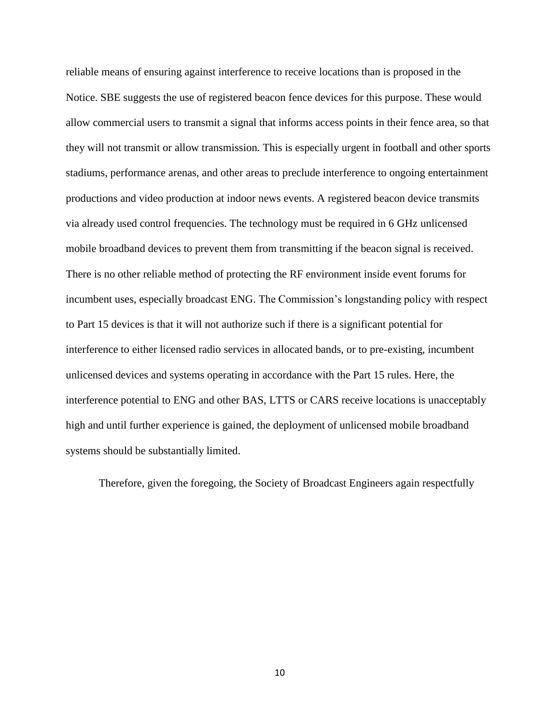reliable means of ensuring against interference to receive locations than is proposed in the Notice. SBE suggests the use of registered beacon fence devices for this purpose. These would allow commercial users to transmit a signal that informs access points in their fence area, so that they will not transmit or allow transmission. This is especially urgent in football and other sports stadiums, performance arenas, and other areas to preclude interference to ongoing entertainment productions and video production at indoor news events. A registered beacon device transmits via already used control frequencies. The technology must be required in 6 GHz unlicensed mobile broadband devices to prevent them from transmitting if the beacon signal is received. There is no other reliable method of protecting the RF environment inside event forums for incumbent uses, especially broadcast ENG. The Commission's longstanding policy with respect to Part 15 devices is that it will not authorize such if there is a significant potential for interference to either licensed radio services in allocated bands, or to pre-existing, incumbent unlicensed devices and systems operating in accordance with the Part 15 rules. Here, the interference potential to ENG and other BAS, LTTS or CARS receive locations is unacceptably high and until further experience is gained, the deployment of unlicensed mobile broadband systems should be substantially limited.

Therefore, given the foregoing, the Society of Broadcast Engineers again respectfully